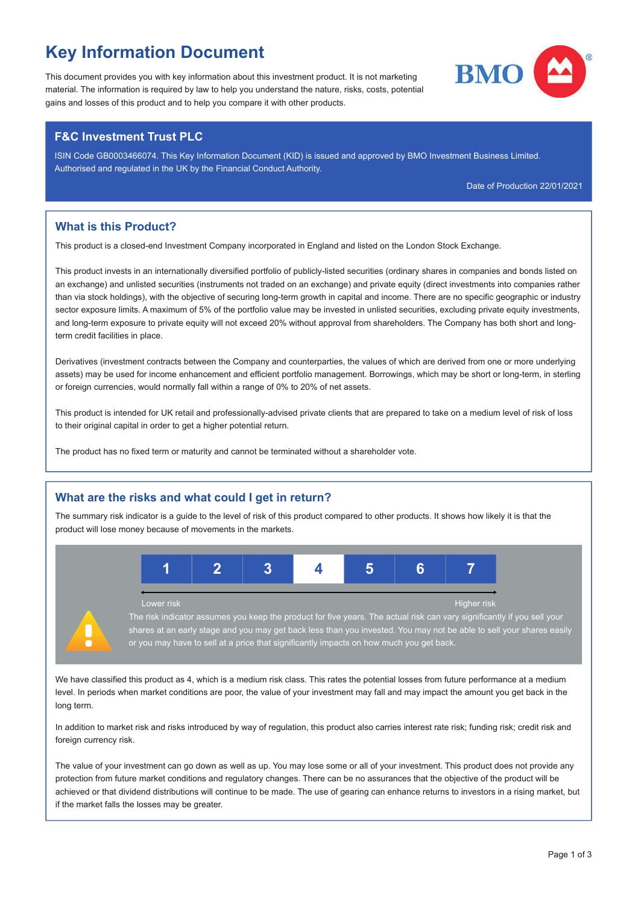# Key Information Document

This document provides you with key information about this investment product. It is not marketing material. The information is required by law to help you understand the nature, risks, costs, potential gains and losses of this product and to help you compare it with other products.

# F&C Investment Trust PLC

ISIN Code GB0003466074. This Key Information Document (KID) is issued and approved by BMO Investment Business Limited. Authorised and regulated in the UK by the Financial Conduct Authority.

Date of Production 22/01/2021

# What is this Product?

This product is a closed-end Investment Company incorporated in England and listed on the London Stock Exchange.

This product invests in an internationally diversified portfolio of publicly-listed securities (ordinary shares in companies and bonds listed on an exchange) and unlisted securities (instruments not traded on an exchange) and private equity (direct investments into companies rather than via stock holdings), with the objective of securing long-term growth in capital and income. There are no specific geographic or industry sector exposure limits. A maximum of 5% of the portfolio value may be invested in unlisted securities, excluding private equity investments, and long-term exposure to private equity will not exceed 20% without approval from shareholders. The Company has both short and longterm credit facilities in place.

Derivatives (investment contracts between the Company and counterparties, the values of which are derived from one or more underlying assets) may be used for income enhancement and efficient portfolio management. Borrowings, which may be short or long-term, in sterling or foreign currencies, would normally fall within a range of 0% to 20% of net assets.

This product is intended for UK retail and professionally-advised private clients that are prepared to take on a medium level of risk of loss to their original capital in order to get a higher potential return.

The product has no fixed term or maturity and cannot be terminated without a shareholder vote.

# What are the risks and what could I get in return?

The summary risk indicator is a guide to the level of risk of this product compared to other products. It shows how likely it is that the product will lose money because of movements in the markets.



We have classified this product as 4, which is a medium risk class. This rates the potential losses from future performance at a medium level. In periods when market conditions are poor, the value of your investment may fall and may impact the amount you get back in the long term.

In addition to market risk and risks introduced by way of regulation, this product also carries interest rate risk; funding risk; credit risk and foreign currency risk.

The value of your investment can go down as well as up. You may lose some or all of your investment. This product does not provide any protection from future market conditions and regulatory changes. There can be no assurances that the objective of the product will be achieved or that dividend distributions will continue to be made. The use of gearing can enhance returns to investors in a rising market, but if the market falls the losses may be greater.

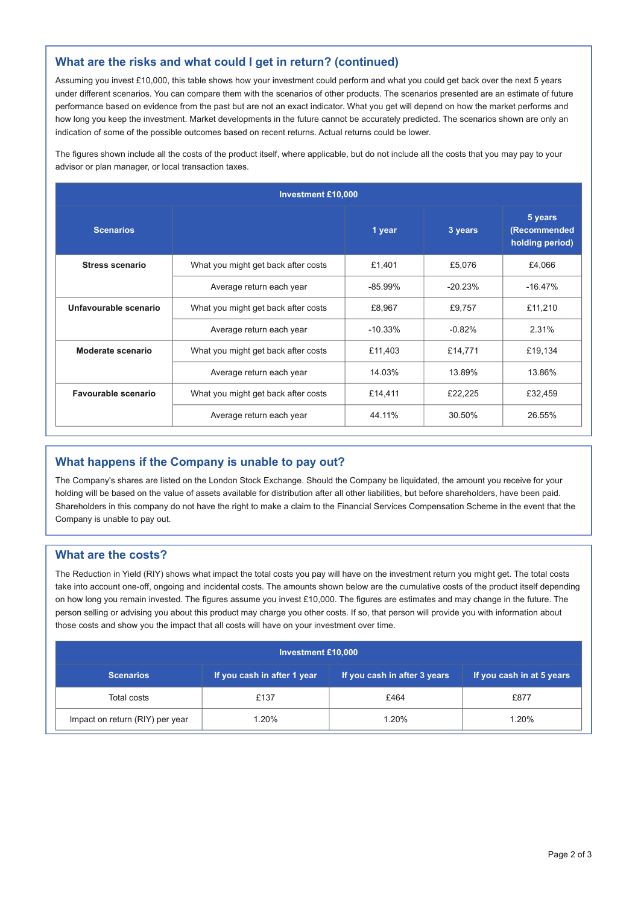#### What are the risks and what could I get in return? (continued)

Assuming you invest £10,000, this table shows how your investment could perform and what you could get back over the next 5 years under different scenarios. You can compare them with the scenarios of other products. The scenarios presented are an estimate of future performance based on evidence from the past but are not an exact indicator. What you get will depend on how the market performs and how long you keep the investment. Market developments in the future cannot be accurately predicted. The scenarios shown are only an indication of some of the possible outcomes based on recent returns. Actual returns could be lower.

The figures shown include all the costs of the product itself, where applicable, but do not include all the costs that you may pay to your advisor or plan manager, or local transaction taxes.

| <b>Investment £10,000</b> |                                                |           |           |                                            |  |  |
|---------------------------|------------------------------------------------|-----------|-----------|--------------------------------------------|--|--|
| <b>Scenarios</b>          |                                                | 1 year    | 3 years   | 5 years<br>(Recommended<br>holding period) |  |  |
| Stress scenario           | What you might get back after costs            | £1.401    | £5.076    | £4.066                                     |  |  |
|                           | Average return each year                       | $-85.99%$ | $-20.23%$ | $-16.47%$                                  |  |  |
| Unfavourable scenario     | What you might get back after costs            | £8.967    | £9.757    | £11.210                                    |  |  |
|                           | Average return each year                       | $-10.33%$ | $-0.82%$  | 2.31%                                      |  |  |
| Moderate scenario         | What you might get back after costs            | £11,403   | £14,771   | £19,134                                    |  |  |
|                           | Average return each year                       | 14.03%    | 13.89%    | 13.86%                                     |  |  |
| Favourable scenario       | What you might get back after costs<br>£14,411 |           | £22.225   | £32,459                                    |  |  |
|                           | Average return each year                       | 44.11%    | 30.50%    | 26.55%                                     |  |  |

# What happens if the Company is unable to pay out?

The Company's shares are listed on the London Stock Exchange. Should the Company be liquidated, the amount you receive for your holding will be based on the value of assets available for distribution after all other liabilities, but before shareholders, have been paid. Shareholders in this company do not have the right to make a claim to the Financial Services Compensation Scheme in the event that the Company is unable to pay out.

#### What are the costs?

The Reduction in Yield (RIY) shows what impact the total costs you pay will have on the investment return you might get. The total costs take into account one-off, ongoing and incidental costs. The amounts shown below are the cumulative costs of the product itself depending on how long you remain invested. The figures assume you invest £10,000. The figures are estimates and may change in the future. The person selling or advising you about this product may charge you other costs. If so, that person will provide you with information about those costs and show you the impact that all costs will have on your investment over time.

| <b>Investment £10,000</b>       |                             |                              |       |  |  |  |
|---------------------------------|-----------------------------|------------------------------|-------|--|--|--|
| <b>Scenarios</b>                | If you cash in after 1 year | If you cash in after 3 years |       |  |  |  |
| Total costs                     | £137                        | £464                         | £877  |  |  |  |
| Impact on return (RIY) per year | 1.20%                       | 1.20%                        | 1.20% |  |  |  |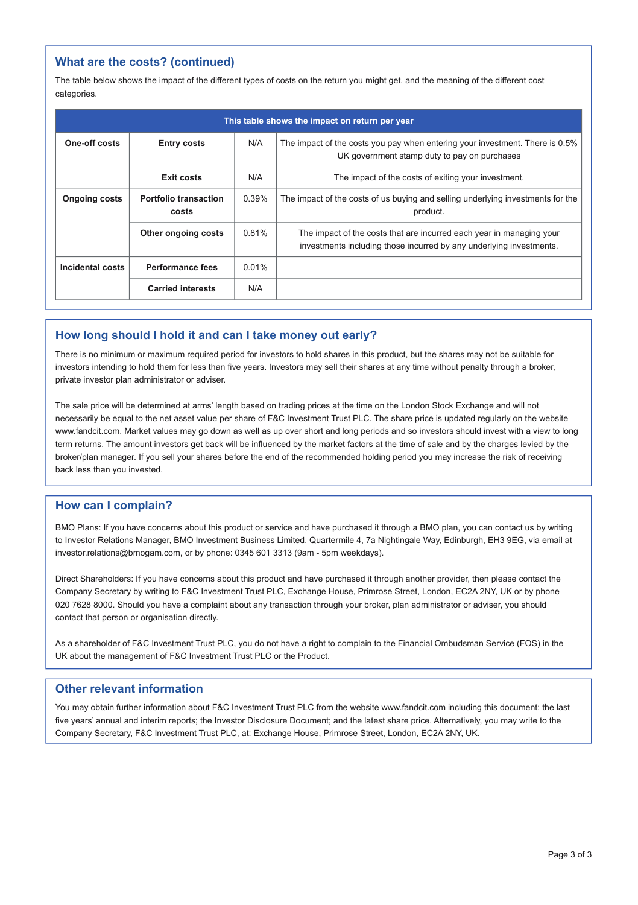# What are the costs? (continued)

The table below shows the impact of the different types of costs on the return you might get, and the meaning of the different cost categories.

| This table shows the impact on return per year |                                       |       |                                                                                                                                             |  |  |
|------------------------------------------------|---------------------------------------|-------|---------------------------------------------------------------------------------------------------------------------------------------------|--|--|
| One-off costs                                  | <b>Entry costs</b>                    | N/A   | The impact of the costs you pay when entering your investment. There is 0.5%<br>UK government stamp duty to pay on purchases                |  |  |
|                                                | Exit costs                            | N/A   | The impact of the costs of exiting your investment.                                                                                         |  |  |
| <b>Ongoing costs</b>                           | <b>Portfolio transaction</b><br>costs | 0.39% | The impact of the costs of us buying and selling underlying investments for the<br>product.                                                 |  |  |
|                                                | Other ongoing costs                   | 0.81% | The impact of the costs that are incurred each year in managing your<br>investments including those incurred by any underlying investments. |  |  |
| Incidental costs                               | Performance fees                      | 0.01% |                                                                                                                                             |  |  |
|                                                | <b>Carried interests</b>              | N/A   |                                                                                                                                             |  |  |

#### How long should I hold it and can I take money out early?

There is no minimum or maximum required period for investors to hold shares in this product, but the shares may not be suitable for investors intending to hold them for less than five years. Investors may sell their shares at any time without penalty through a broker, private investor plan administrator or adviser.

The sale price will be determined at arms' length based on trading prices at the time on the London Stock Exchange and will not necessarily be equal to the net asset value per share of F&C Investment Trust PLC. The share price is updated regularly on the website www.fandcit.com. Market values may go down as well as up over short and long periods and so investors should invest with a view to long term returns. The amount investors get back will be influenced by the market factors at the time of sale and by the charges levied by the broker/plan manager. If you sell your shares before the end of the recommended holding period you may increase the risk of receiving back less than you invested.

#### How can I complain?

BMO Plans: If you have concerns about this product or service and have purchased it through a BMO plan, you can contact us by writing to Investor Relations Manager, BMO Investment Business Limited, Quartermile 4, 7a Nightingale Way, Edinburgh, EH3 9EG, via email at investor.relations@bmogam.com, or by phone: 0345 601 3313 (9am - 5pm weekdays).

Direct Shareholders: If you have concerns about this product and have purchased it through another provider, then please contact the Company Secretary by writing to F&C Investment Trust PLC, Exchange House, Primrose Street, London, EC2A 2NY, UK or by phone 020 7628 8000. Should you have a complaint about any transaction through your broker, plan administrator or adviser, you should contact that person or organisation directly.

As a shareholder of F&C Investment Trust PLC, you do not have a right to complain to the Financial Ombudsman Service (FOS) in the UK about the management of F&C Investment Trust PLC or the Product.

#### Other relevant information

You may obtain further information about F&C Investment Trust PLC from the website www.fandcit.com including this document; the last five years' annual and interim reports; the Investor Disclosure Document; and the latest share price. Alternatively, you may write to the Company Secretary, F&C Investment Trust PLC, at: Exchange House, Primrose Street, London, EC2A 2NY, UK.